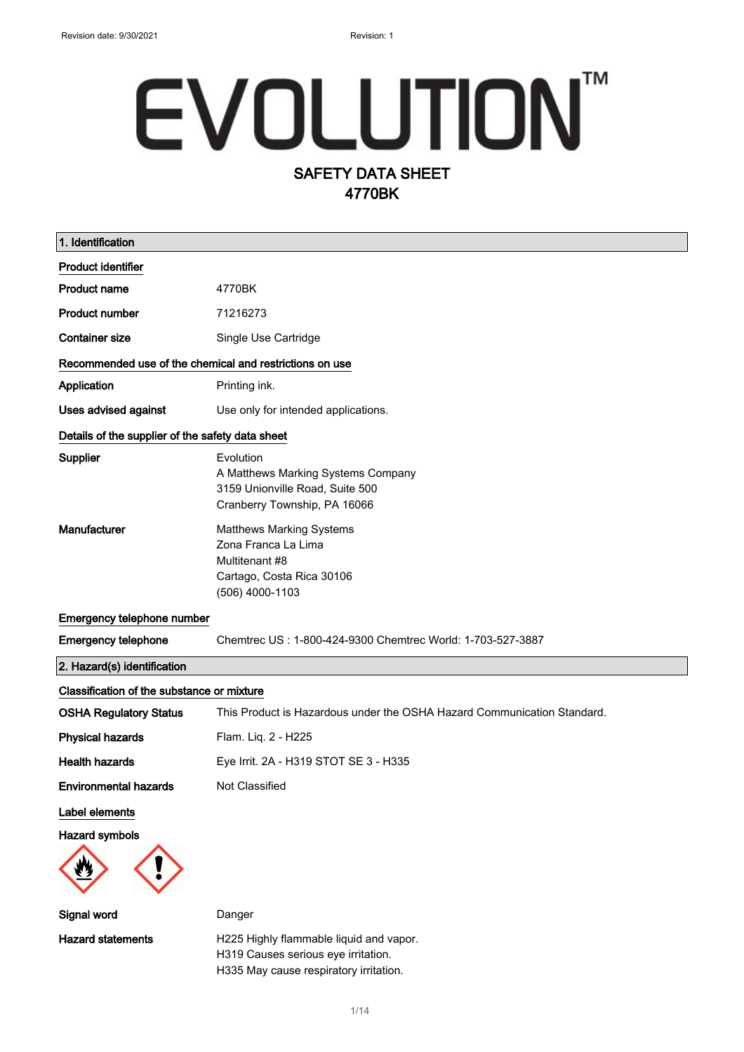# EVOLUTIONT SAFETY DATA SHEET 4770BK

| 1. Identification                                       |                                                                                                                          |  |  |  |
|---------------------------------------------------------|--------------------------------------------------------------------------------------------------------------------------|--|--|--|
| <b>Product identifier</b>                               |                                                                                                                          |  |  |  |
| <b>Product name</b>                                     | 4770BK                                                                                                                   |  |  |  |
| <b>Product number</b>                                   | 71216273                                                                                                                 |  |  |  |
| <b>Container size</b>                                   | Single Use Cartridge                                                                                                     |  |  |  |
| Recommended use of the chemical and restrictions on use |                                                                                                                          |  |  |  |
| Application                                             | Printing ink.                                                                                                            |  |  |  |
| Uses advised against                                    | Use only for intended applications.                                                                                      |  |  |  |
| Details of the supplier of the safety data sheet        |                                                                                                                          |  |  |  |
| Supplier                                                | Evolution<br>A Matthews Marking Systems Company<br>3159 Unionville Road, Suite 500<br>Cranberry Township, PA 16066       |  |  |  |
| Manufacturer                                            | <b>Matthews Marking Systems</b><br>Zona Franca La Lima<br>Multitenant #8<br>Cartago, Costa Rica 30106<br>(506) 4000-1103 |  |  |  |
| Emergency telephone number                              |                                                                                                                          |  |  |  |
| <b>Emergency telephone</b>                              | Chemtrec US: 1-800-424-9300 Chemtrec World: 1-703-527-3887                                                               |  |  |  |
| 2. Hazard(s) identification                             |                                                                                                                          |  |  |  |
| Classification of the substance or mixture              |                                                                                                                          |  |  |  |
| <b>OSHA Regulatory Status</b>                           | This Product is Hazardous under the OSHA Hazard Communication Standard.                                                  |  |  |  |
| <b>Physical hazards</b>                                 | Flam. Liq. 2 - H225                                                                                                      |  |  |  |
| <b>Health hazards</b>                                   | Eye Irrit. 2A - H319 STOT SE 3 - H335                                                                                    |  |  |  |
| <b>Environmental hazards</b>                            | Not Classified                                                                                                           |  |  |  |
| Label elements                                          |                                                                                                                          |  |  |  |
| <b>Hazard symbols</b>                                   |                                                                                                                          |  |  |  |
| Signal word                                             | Danger                                                                                                                   |  |  |  |
| <b>Hazard statements</b>                                | H225 Highly flammable liquid and vapor.<br>H319 Causes serious eye irritation.                                           |  |  |  |

H335 May cause respiratory irritation.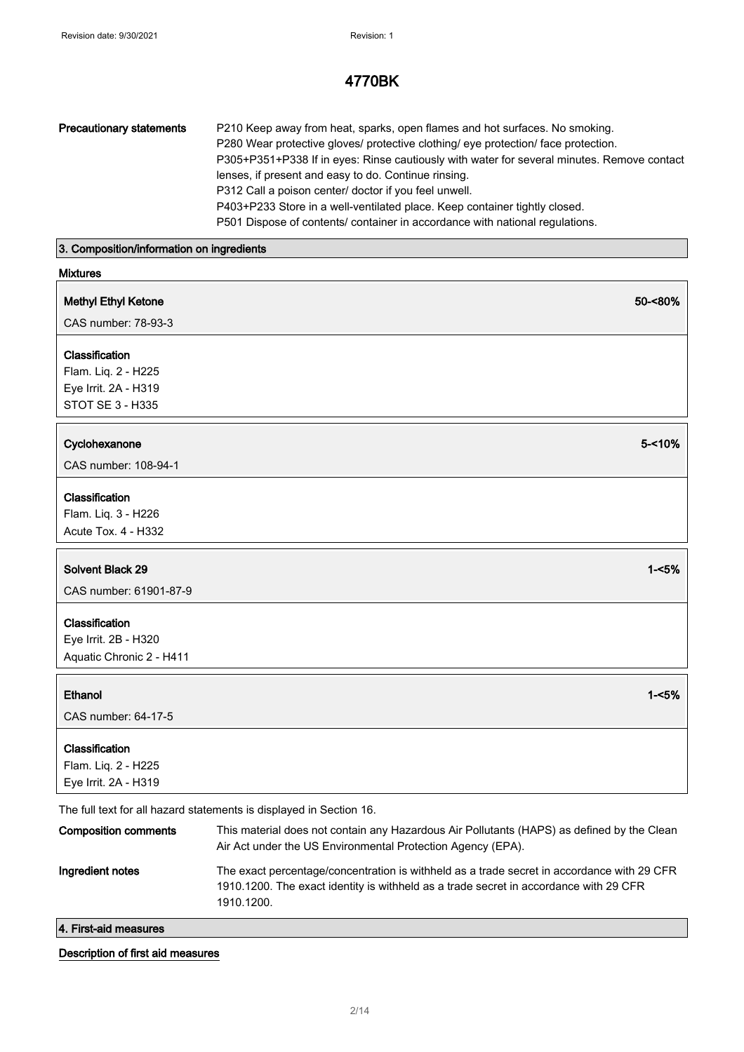| <b>Precautionary statements</b> | P210 Keep away from heat, sparks, open flames and hot surfaces. No smoking.                |
|---------------------------------|--------------------------------------------------------------------------------------------|
|                                 | P280 Wear protective gloves/ protective clothing/ eye protection/ face protection.         |
|                                 | P305+P351+P338 If in eyes: Rinse cautiously with water for several minutes. Remove contact |
|                                 | lenses, if present and easy to do. Continue rinsing.                                       |
|                                 | P312 Call a poison center/ doctor if you feel unwell.                                      |
|                                 | P403+P233 Store in a well-ventilated place. Keep container tightly closed.                 |
|                                 | P501 Dispose of contents/ container in accordance with national regulations.               |
|                                 |                                                                                            |

# 3. Composition/information on ingredients

| <b>Mixtures</b>                                                                                                           |           |
|---------------------------------------------------------------------------------------------------------------------------|-----------|
| <b>Methyl Ethyl Ketone</b>                                                                                                | 50-<80%   |
| CAS number: 78-93-3                                                                                                       |           |
|                                                                                                                           |           |
| Classification<br>Flam. Liq. 2 - H225                                                                                     |           |
|                                                                                                                           |           |
| Eye Irrit. 2A - H319<br>STOT SE 3 - H335                                                                                  |           |
|                                                                                                                           |           |
| Cyclohexanone                                                                                                             | $5 - 10%$ |
| CAS number: 108-94-1                                                                                                      |           |
|                                                                                                                           |           |
| Classification                                                                                                            |           |
| Flam. Liq. 3 - H226                                                                                                       |           |
| Acute Tox. 4 - H332                                                                                                       |           |
|                                                                                                                           |           |
| <b>Solvent Black 29</b>                                                                                                   | $1 - 5%$  |
| CAS number: 61901-87-9                                                                                                    |           |
| Classification                                                                                                            |           |
| Eye Irrit. 2B - H320                                                                                                      |           |
| Aquatic Chronic 2 - H411                                                                                                  |           |
|                                                                                                                           |           |
| Ethanol                                                                                                                   | $1 - 5%$  |
| CAS number: 64-17-5                                                                                                       |           |
|                                                                                                                           |           |
| Classification                                                                                                            |           |
| Flam. Liq. 2 - H225                                                                                                       |           |
| Eye Irrit. 2A - H319                                                                                                      |           |
|                                                                                                                           |           |
| The full text for all hazard statements is displayed in Section 16.                                                       |           |
| <b>Composition comments</b><br>This material does not contain any Hazardous Air Pollutants (HAPS) as defined by the Clean |           |

| 4. First-aid measures       |                                                                                                                                                                                                   |
|-----------------------------|---------------------------------------------------------------------------------------------------------------------------------------------------------------------------------------------------|
| Ingredient notes            | The exact percentage/concentration is withheld as a trade secret in accordance with 29 CFR<br>1910.1200. The exact identity is withheld as a trade secret in accordance with 29 CFR<br>1910.1200. |
| <b>Composition comments</b> | This material does not contain any Hazardous Air Pollutants (HAPS) as defined by the Clean<br>Air Act under the US Environmental Protection Agency (EPA).                                         |

# Description of first aid measures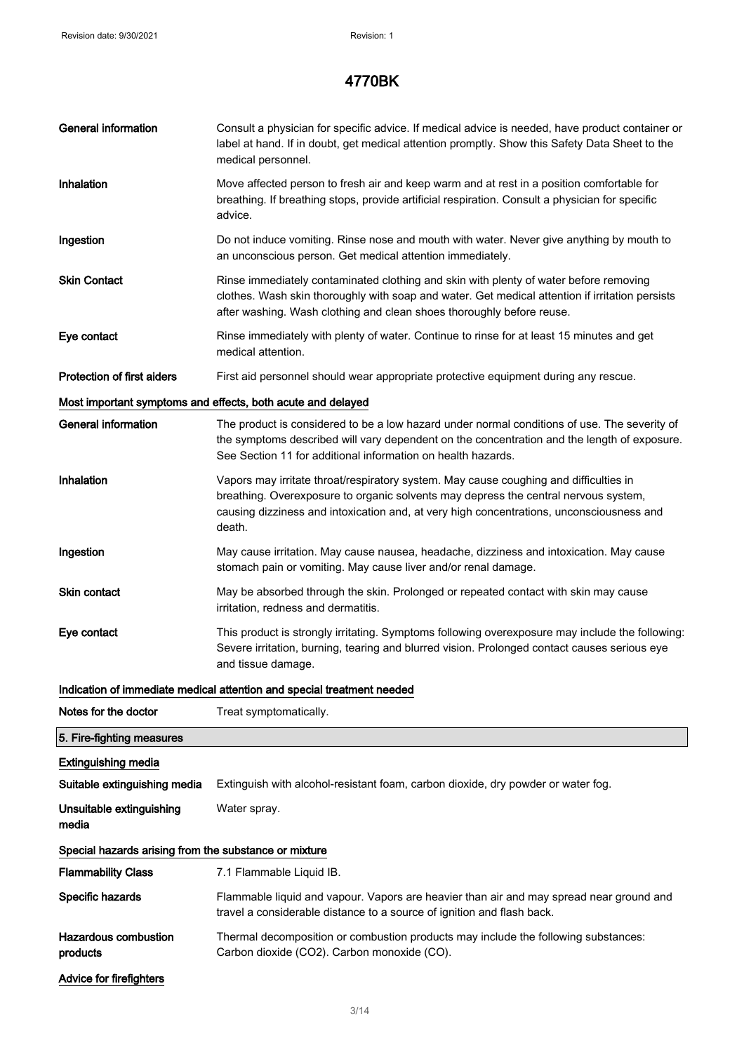| <b>General information</b>                            | Consult a physician for specific advice. If medical advice is needed, have product container or<br>label at hand. If in doubt, get medical attention promptly. Show this Safety Data Sheet to the<br>medical personnel.                                                            |  |  |  |
|-------------------------------------------------------|------------------------------------------------------------------------------------------------------------------------------------------------------------------------------------------------------------------------------------------------------------------------------------|--|--|--|
| Inhalation                                            | Move affected person to fresh air and keep warm and at rest in a position comfortable for<br>breathing. If breathing stops, provide artificial respiration. Consult a physician for specific<br>advice.                                                                            |  |  |  |
| Ingestion                                             | Do not induce vomiting. Rinse nose and mouth with water. Never give anything by mouth to<br>an unconscious person. Get medical attention immediately.                                                                                                                              |  |  |  |
| <b>Skin Contact</b>                                   | Rinse immediately contaminated clothing and skin with plenty of water before removing<br>clothes. Wash skin thoroughly with soap and water. Get medical attention if irritation persists<br>after washing. Wash clothing and clean shoes thoroughly before reuse.                  |  |  |  |
| Eye contact                                           | Rinse immediately with plenty of water. Continue to rinse for at least 15 minutes and get<br>medical attention.                                                                                                                                                                    |  |  |  |
| <b>Protection of first aiders</b>                     | First aid personnel should wear appropriate protective equipment during any rescue.                                                                                                                                                                                                |  |  |  |
|                                                       | Most important symptoms and effects, both acute and delayed                                                                                                                                                                                                                        |  |  |  |
| <b>General information</b>                            | The product is considered to be a low hazard under normal conditions of use. The severity of<br>the symptoms described will vary dependent on the concentration and the length of exposure.<br>See Section 11 for additional information on health hazards.                        |  |  |  |
| Inhalation                                            | Vapors may irritate throat/respiratory system. May cause coughing and difficulties in<br>breathing. Overexposure to organic solvents may depress the central nervous system,<br>causing dizziness and intoxication and, at very high concentrations, unconsciousness and<br>death. |  |  |  |
| Ingestion                                             | May cause irritation. May cause nausea, headache, dizziness and intoxication. May cause<br>stomach pain or vomiting. May cause liver and/or renal damage.                                                                                                                          |  |  |  |
| Skin contact                                          | May be absorbed through the skin. Prolonged or repeated contact with skin may cause<br>irritation, redness and dermatitis.                                                                                                                                                         |  |  |  |
| Eye contact                                           | This product is strongly irritating. Symptoms following overexposure may include the following:<br>Severe irritation, burning, tearing and blurred vision. Prolonged contact causes serious eye<br>and tissue damage.                                                              |  |  |  |
|                                                       | Indication of immediate medical attention and special treatment needed                                                                                                                                                                                                             |  |  |  |
| Notes for the doctor                                  | Treat symptomatically.                                                                                                                                                                                                                                                             |  |  |  |
| 5. Fire-fighting measures                             |                                                                                                                                                                                                                                                                                    |  |  |  |
| <b>Extinguishing media</b>                            |                                                                                                                                                                                                                                                                                    |  |  |  |
| Suitable extinguishing media                          | Extinguish with alcohol-resistant foam, carbon dioxide, dry powder or water fog.                                                                                                                                                                                                   |  |  |  |
| Unsuitable extinguishing<br>media                     | Water spray.                                                                                                                                                                                                                                                                       |  |  |  |
| Special hazards arising from the substance or mixture |                                                                                                                                                                                                                                                                                    |  |  |  |
| <b>Flammability Class</b>                             | 7.1 Flammable Liquid IB.                                                                                                                                                                                                                                                           |  |  |  |
| Specific hazards                                      | Flammable liquid and vapour. Vapors are heavier than air and may spread near ground and<br>travel a considerable distance to a source of ignition and flash back.                                                                                                                  |  |  |  |
| <b>Hazardous combustion</b><br>products               | Thermal decomposition or combustion products may include the following substances:<br>Carbon dioxide (CO2). Carbon monoxide (CO).                                                                                                                                                  |  |  |  |
| Advice for firefighters                               |                                                                                                                                                                                                                                                                                    |  |  |  |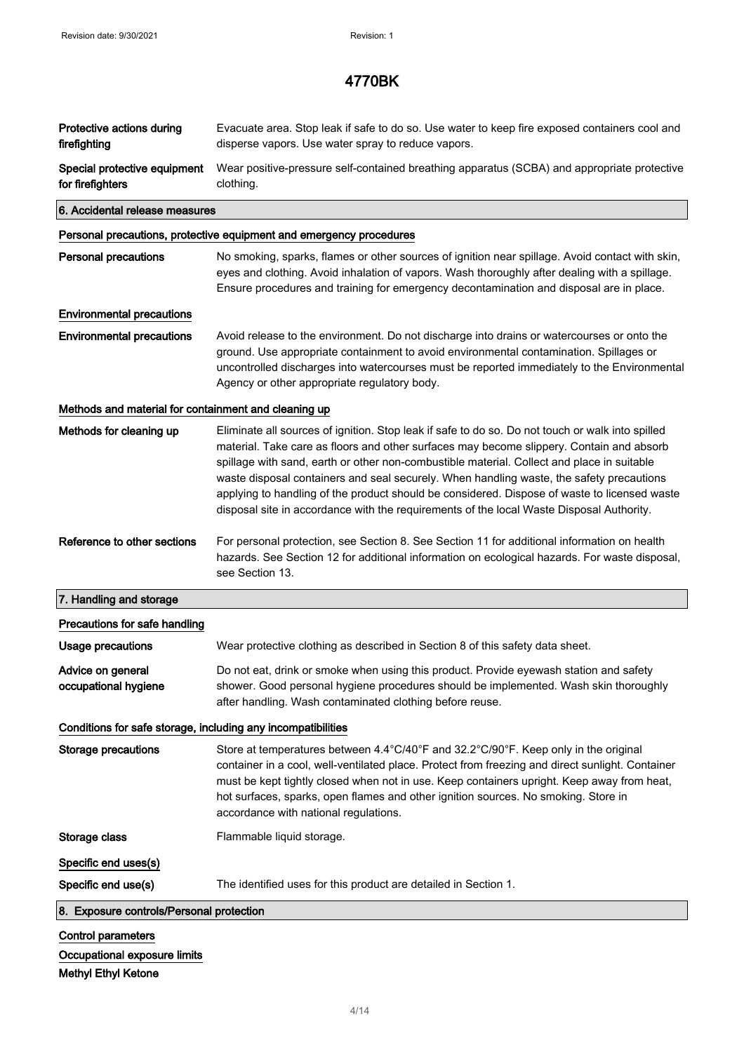| Protective actions during<br>firefighting                    | Evacuate area. Stop leak if safe to do so. Use water to keep fire exposed containers cool and<br>disperse vapors. Use water spray to reduce vapors.                                                                                                                                                                                                                                                                                                                                                                                                                                |  |  |  |  |  |
|--------------------------------------------------------------|------------------------------------------------------------------------------------------------------------------------------------------------------------------------------------------------------------------------------------------------------------------------------------------------------------------------------------------------------------------------------------------------------------------------------------------------------------------------------------------------------------------------------------------------------------------------------------|--|--|--|--|--|
| Special protective equipment<br>for firefighters             | Wear positive-pressure self-contained breathing apparatus (SCBA) and appropriate protective<br>clothing.                                                                                                                                                                                                                                                                                                                                                                                                                                                                           |  |  |  |  |  |
|                                                              | 6. Accidental release measures                                                                                                                                                                                                                                                                                                                                                                                                                                                                                                                                                     |  |  |  |  |  |
|                                                              | Personal precautions, protective equipment and emergency procedures                                                                                                                                                                                                                                                                                                                                                                                                                                                                                                                |  |  |  |  |  |
| <b>Personal precautions</b>                                  | No smoking, sparks, flames or other sources of ignition near spillage. Avoid contact with skin,<br>eyes and clothing. Avoid inhalation of vapors. Wash thoroughly after dealing with a spillage.<br>Ensure procedures and training for emergency decontamination and disposal are in place.                                                                                                                                                                                                                                                                                        |  |  |  |  |  |
| <b>Environmental precautions</b>                             |                                                                                                                                                                                                                                                                                                                                                                                                                                                                                                                                                                                    |  |  |  |  |  |
| <b>Environmental precautions</b>                             | Avoid release to the environment. Do not discharge into drains or watercourses or onto the<br>ground. Use appropriate containment to avoid environmental contamination. Spillages or<br>uncontrolled discharges into watercourses must be reported immediately to the Environmental<br>Agency or other appropriate regulatory body.                                                                                                                                                                                                                                                |  |  |  |  |  |
| Methods and material for containment and cleaning up         |                                                                                                                                                                                                                                                                                                                                                                                                                                                                                                                                                                                    |  |  |  |  |  |
| Methods for cleaning up                                      | Eliminate all sources of ignition. Stop leak if safe to do so. Do not touch or walk into spilled<br>material. Take care as floors and other surfaces may become slippery. Contain and absorb<br>spillage with sand, earth or other non-combustible material. Collect and place in suitable<br>waste disposal containers and seal securely. When handling waste, the safety precautions<br>applying to handling of the product should be considered. Dispose of waste to licensed waste<br>disposal site in accordance with the requirements of the local Waste Disposal Authority. |  |  |  |  |  |
| Reference to other sections                                  | For personal protection, see Section 8. See Section 11 for additional information on health<br>hazards. See Section 12 for additional information on ecological hazards. For waste disposal,<br>see Section 13.                                                                                                                                                                                                                                                                                                                                                                    |  |  |  |  |  |
| 7. Handling and storage                                      |                                                                                                                                                                                                                                                                                                                                                                                                                                                                                                                                                                                    |  |  |  |  |  |
| Precautions for safe handling                                |                                                                                                                                                                                                                                                                                                                                                                                                                                                                                                                                                                                    |  |  |  |  |  |
| Usage precautions                                            | Wear protective clothing as described in Section 8 of this safety data sheet.                                                                                                                                                                                                                                                                                                                                                                                                                                                                                                      |  |  |  |  |  |
| Advice on general<br>occupational hygiene                    | Do not eat, drink or smoke when using this product. Provide eyewash station and safety<br>shower. Good personal hygiene procedures should be implemented. Wash skin thoroughly<br>after handling. Wash contaminated clothing before reuse.                                                                                                                                                                                                                                                                                                                                         |  |  |  |  |  |
| Conditions for safe storage, including any incompatibilities |                                                                                                                                                                                                                                                                                                                                                                                                                                                                                                                                                                                    |  |  |  |  |  |
| <b>Storage precautions</b>                                   | Store at temperatures between 4.4°C/40°F and 32.2°C/90°F. Keep only in the original<br>container in a cool, well-ventilated place. Protect from freezing and direct sunlight. Container<br>must be kept tightly closed when not in use. Keep containers upright. Keep away from heat,<br>hot surfaces, sparks, open flames and other ignition sources. No smoking. Store in<br>accordance with national regulations.                                                                                                                                                               |  |  |  |  |  |
| Storage class                                                | Flammable liquid storage.                                                                                                                                                                                                                                                                                                                                                                                                                                                                                                                                                          |  |  |  |  |  |
| Specific end uses(s)                                         |                                                                                                                                                                                                                                                                                                                                                                                                                                                                                                                                                                                    |  |  |  |  |  |
| Specific end use(s)                                          | The identified uses for this product are detailed in Section 1.                                                                                                                                                                                                                                                                                                                                                                                                                                                                                                                    |  |  |  |  |  |
| 8. Exposure controls/Personal protection                     |                                                                                                                                                                                                                                                                                                                                                                                                                                                                                                                                                                                    |  |  |  |  |  |
| <b>Control parameters</b>                                    |                                                                                                                                                                                                                                                                                                                                                                                                                                                                                                                                                                                    |  |  |  |  |  |
| Occupational exposure limits                                 |                                                                                                                                                                                                                                                                                                                                                                                                                                                                                                                                                                                    |  |  |  |  |  |

Methyl Ethyl Ketone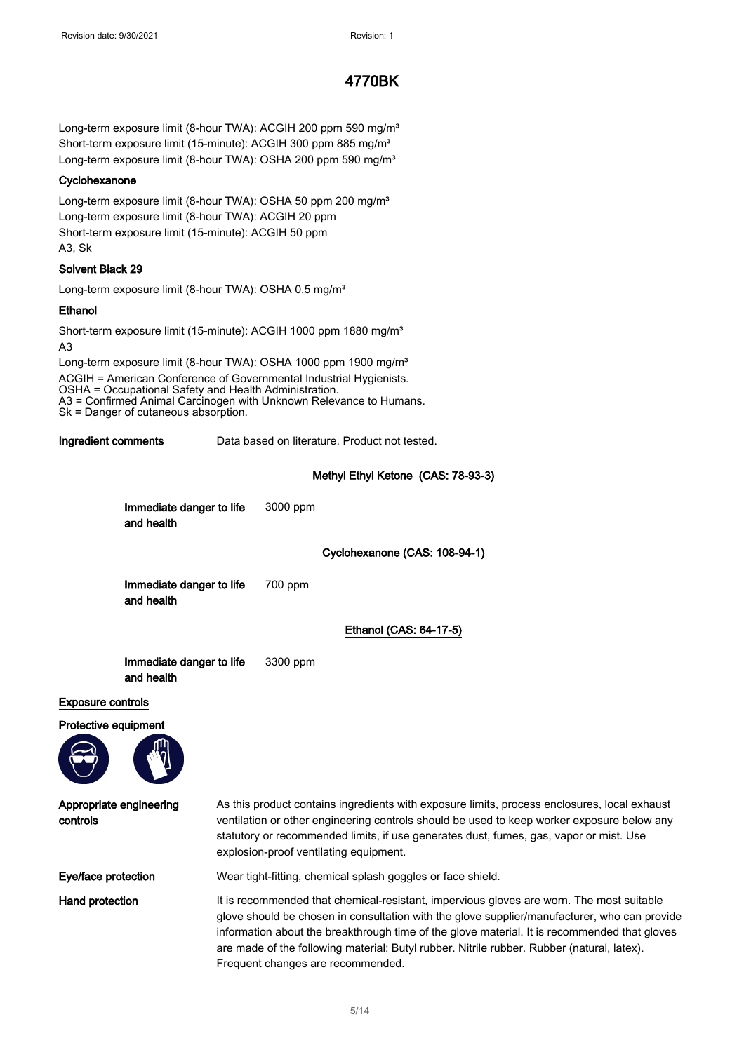Long-term exposure limit (8-hour TWA): ACGIH 200 ppm 590 mg/m<sup>3</sup> Short-term exposure limit (15-minute): ACGIH 300 ppm 885 mg/m<sup>3</sup> Long-term exposure limit (8-hour TWA): OSHA 200 ppm 590 mg/m<sup>3</sup>

#### **Cyclohexanone**

Long-term exposure limit (8-hour TWA): OSHA 50 ppm 200 mg/m<sup>3</sup> Long-term exposure limit (8-hour TWA): ACGIH 20 ppm Short-term exposure limit (15-minute): ACGIH 50 ppm A3, Sk

#### Solvent Black 29

Long-term exposure limit (8-hour TWA): OSHA 0.5 mg/m<sup>3</sup>

#### **Ethanol**

Short-term exposure limit (15-minute): ACGIH 1000 ppm 1880 mg/m<sup>3</sup> A3

Long-term exposure limit (8-hour TWA): OSHA 1000 ppm 1900 mg/m<sup>3</sup> ACGIH = American Conference of Governmental Industrial Hygienists. OSHA = Occupational Safety and Health Administration. A3 = Confirmed Animal Carcinogen with Unknown Relevance to Humans. Sk = Danger of cutaneous absorption.

Ingredient comments Data based on literature. Product not tested.

#### Methyl Ethyl Ketone (CAS: 78-93-3)

|                                     | Immediate danger to life<br>and health |                                                                                                                                                                                                                                                                                                                                | 3000 ppm                                                                                                                                            |
|-------------------------------------|----------------------------------------|--------------------------------------------------------------------------------------------------------------------------------------------------------------------------------------------------------------------------------------------------------------------------------------------------------------------------------|-----------------------------------------------------------------------------------------------------------------------------------------------------|
|                                     |                                        |                                                                                                                                                                                                                                                                                                                                | Cyclohexanone (CAS: 108-94-1)                                                                                                                       |
|                                     | Immediate danger to life<br>and health |                                                                                                                                                                                                                                                                                                                                | 700 ppm                                                                                                                                             |
|                                     |                                        |                                                                                                                                                                                                                                                                                                                                | Ethanol (CAS: 64-17-5)                                                                                                                              |
|                                     | Immediate danger to life<br>and health |                                                                                                                                                                                                                                                                                                                                | 3300 ppm                                                                                                                                            |
| <b>Exposure controls</b>            |                                        |                                                                                                                                                                                                                                                                                                                                |                                                                                                                                                     |
| Protective equipment                |                                        |                                                                                                                                                                                                                                                                                                                                |                                                                                                                                                     |
| Appropriate engineering<br>controls |                                        | As this product contains ingredients with exposure limits, process enclosures, local exhaust<br>ventilation or other engineering controls should be used to keep worker exposure below any<br>statutory or recommended limits, if use generates dust, fumes, gas, vapor or mist. Use<br>explosion-proof ventilating equipment. |                                                                                                                                                     |
| Eye/face protection                 |                                        |                                                                                                                                                                                                                                                                                                                                | Wear tight-fitting, chemical splash goggles or face shield.                                                                                         |
|                                     |                                        |                                                                                                                                                                                                                                                                                                                                | $\mathbf{r}$ , $\mathbf{r}$ , $\mathbf{r}$ , $\mathbf{r}$ , $\mathbf{r}$ , $\mathbf{r}$ , $\mathbf{r}$ , $\mathbf{r}$ , $\mathbf{r}$ , $\mathbf{r}$ |

Hand protection **It is recommended that chemical-resistant**, impervious gloves are worn. The most suitable glove should be chosen in consultation with the glove supplier/manufacturer, who can provide information about the breakthrough time of the glove material. It is recommended that gloves are made of the following material: Butyl rubber. Nitrile rubber. Rubber (natural, latex). Frequent changes are recommended.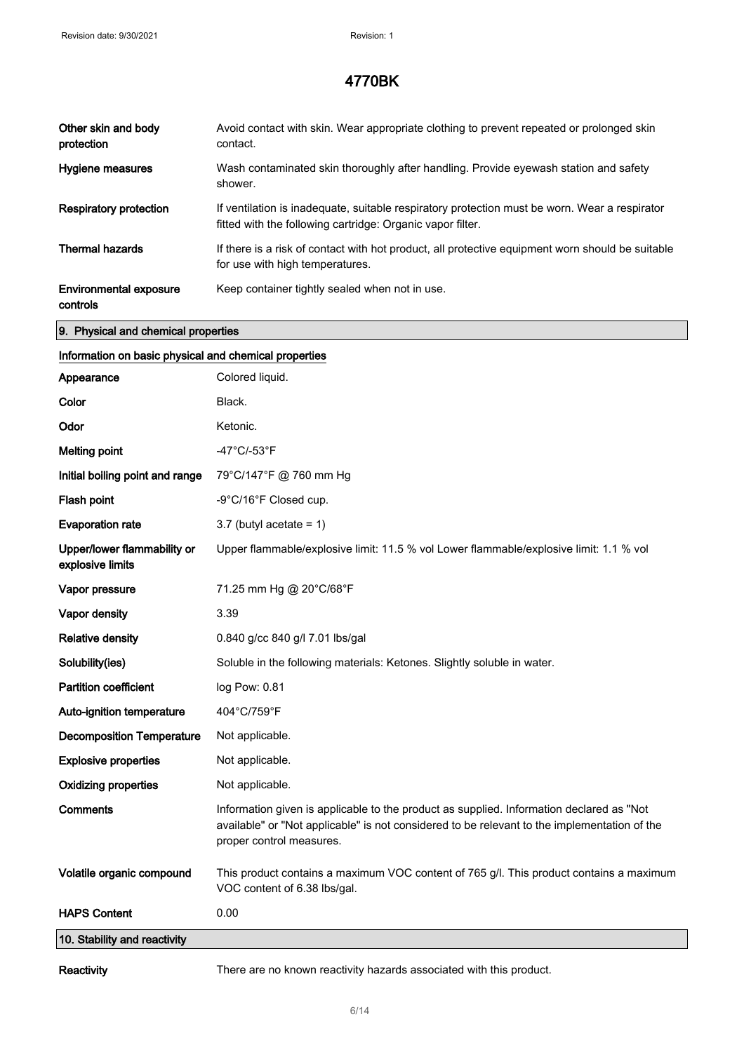| Other skin and body<br>protection         | Avoid contact with skin. Wear appropriate clothing to prevent repeated or prolonged skin<br>contact.                                                        |
|-------------------------------------------|-------------------------------------------------------------------------------------------------------------------------------------------------------------|
| Hygiene measures                          | Wash contaminated skin thoroughly after handling. Provide eyewash station and safety<br>shower.                                                             |
| <b>Respiratory protection</b>             | If ventilation is inadequate, suitable respiratory protection must be worn. Wear a respirator<br>fitted with the following cartridge: Organic vapor filter. |
| <b>Thermal hazards</b>                    | If there is a risk of contact with hot product, all protective equipment worn should be suitable<br>for use with high temperatures.                         |
| <b>Environmental exposure</b><br>controls | Keep container tightly sealed when not in use.                                                                                                              |

#### 9. Physical and chemical properties

# Information on basic physical and chemical properties Appearance Colored liquid. Color Black. Odor Ketonic. Melting point **-47°C/-53°F** Initial boiling point and range 79°C/147°F @ 760 mm Hg Flash point  $-9^{\circ}$ C/16°F Closed cup. Evaporation rate  $3.7$  (butyl acetate = 1) Upper/lower flammability or explosive limits Upper flammable/explosive limit: 11.5 % vol Lower flammable/explosive limit: 1.1 % vol **Vapor pressure** 71.25 mm Hg @ 20°C/68°F Vapor density 3.39 Relative density 0.840 g/cc 840 g/l 7.01 lbs/gal Solubility(ies) Soluble in the following materials: Ketones. Slightly soluble in water. Partition coefficient log Pow: 0.81 Auto-ignition temperature 404°C/759°F Decomposition Temperature Not applicable. **Explosive properties** Not applicable. Oxidizing properties Not applicable. Comments Information given is applicable to the product as supplied. Information declared as "Not available" or "Not applicable" is not considered to be relevant to the implementation of the proper control measures. Volatile organic compound This product contains a maximum VOC content of 765 g/l. This product contains a maximum VOC content of 6.38 lbs/gal. HAPS Content 0.00 10. Stability and reactivity

Reactivity There are no known reactivity hazards associated with this product.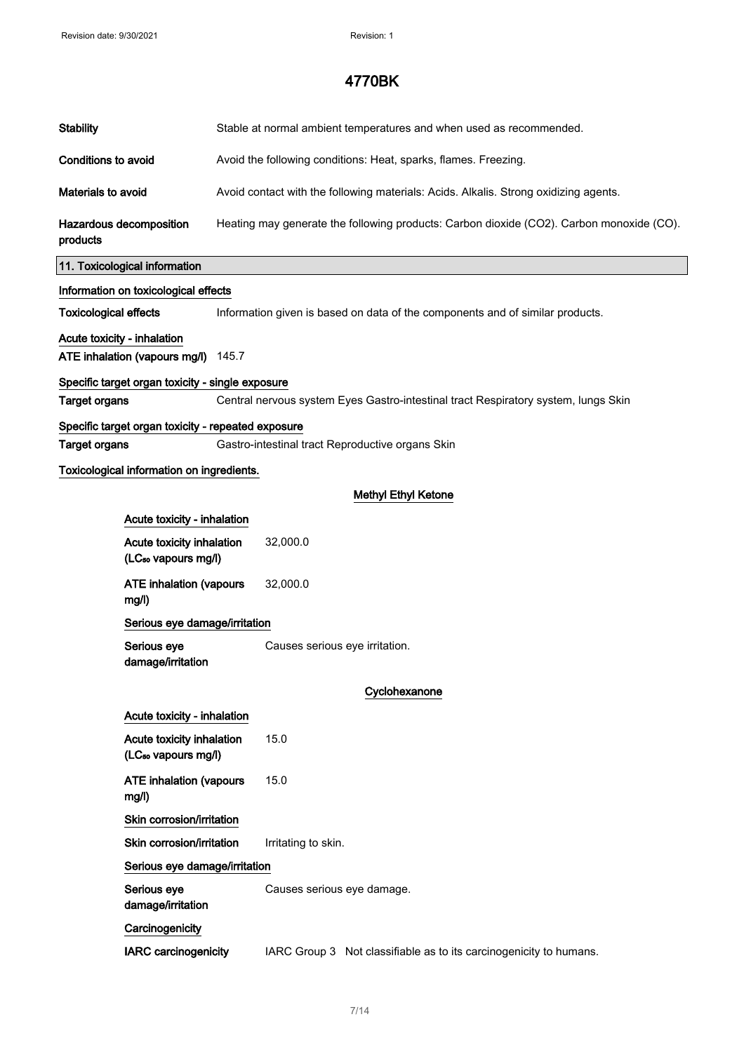| <b>Stability</b>                          |                                                                          | Stable at normal ambient temperatures and when used as recommended.                      |                                                                                    |  |  |  |
|-------------------------------------------|--------------------------------------------------------------------------|------------------------------------------------------------------------------------------|------------------------------------------------------------------------------------|--|--|--|
| <b>Conditions to avoid</b>                |                                                                          | Avoid the following conditions: Heat, sparks, flames. Freezing.                          |                                                                                    |  |  |  |
| Materials to avoid                        |                                                                          | Avoid contact with the following materials: Acids. Alkalis. Strong oxidizing agents.     |                                                                                    |  |  |  |
| products                                  | Hazardous decomposition                                                  | Heating may generate the following products: Carbon dioxide (CO2). Carbon monoxide (CO). |                                                                                    |  |  |  |
|                                           | 11. Toxicological information                                            |                                                                                          |                                                                                    |  |  |  |
|                                           | Information on toxicological effects                                     |                                                                                          |                                                                                    |  |  |  |
| <b>Toxicological effects</b>              |                                                                          |                                                                                          | Information given is based on data of the components and of similar products.      |  |  |  |
| Acute toxicity - inhalation               | ATE inhalation (vapours mg/l)                                            | 145.7                                                                                    |                                                                                    |  |  |  |
|                                           | Specific target organ toxicity - single exposure                         |                                                                                          |                                                                                    |  |  |  |
| <b>Target organs</b>                      |                                                                          |                                                                                          | Central nervous system Eyes Gastro-intestinal tract Respiratory system, lungs Skin |  |  |  |
|                                           | Specific target organ toxicity - repeated exposure                       |                                                                                          |                                                                                    |  |  |  |
|                                           | <b>Target organs</b><br>Gastro-intestinal tract Reproductive organs Skin |                                                                                          |                                                                                    |  |  |  |
| Toxicological information on ingredients. |                                                                          |                                                                                          |                                                                                    |  |  |  |
|                                           |                                                                          |                                                                                          | <b>Methyl Ethyl Ketone</b>                                                         |  |  |  |
|                                           | Acute toxicity - inhalation                                              |                                                                                          |                                                                                    |  |  |  |
|                                           | Acute toxicity inhalation<br>(LC <sub>50</sub> vapours mg/l)             |                                                                                          | 32,000.0                                                                           |  |  |  |
|                                           | <b>ATE inhalation (vapours</b><br>mg/l)                                  |                                                                                          | 32,000.0                                                                           |  |  |  |
|                                           | Serious eye damage/irritation                                            |                                                                                          |                                                                                    |  |  |  |
|                                           | Serious eye<br>damage/irritation                                         |                                                                                          | Causes serious eye irritation.                                                     |  |  |  |
|                                           |                                                                          |                                                                                          | Cyclohexanone                                                                      |  |  |  |
|                                           | Acute toxicity - inhalation                                              |                                                                                          |                                                                                    |  |  |  |
|                                           | Acute toxicity inhalation<br>(LC <sub>50</sub> vapours mg/l)             |                                                                                          | 15.0                                                                               |  |  |  |
|                                           | <b>ATE inhalation (vapours</b><br>mg/l)                                  |                                                                                          | 15.0                                                                               |  |  |  |
|                                           | Skin corrosion/irritation                                                |                                                                                          |                                                                                    |  |  |  |
|                                           | Skin corrosion/irritation                                                |                                                                                          | Irritating to skin.                                                                |  |  |  |
|                                           | Serious eye damage/irritation                                            |                                                                                          |                                                                                    |  |  |  |
|                                           | Serious eye<br>damage/irritation                                         |                                                                                          | Causes serious eye damage.                                                         |  |  |  |
|                                           | Carcinogenicity                                                          |                                                                                          |                                                                                    |  |  |  |
|                                           | <b>IARC</b> carcinogenicity                                              |                                                                                          | IARC Group 3 Not classifiable as to its carcinogenicity to humans.                 |  |  |  |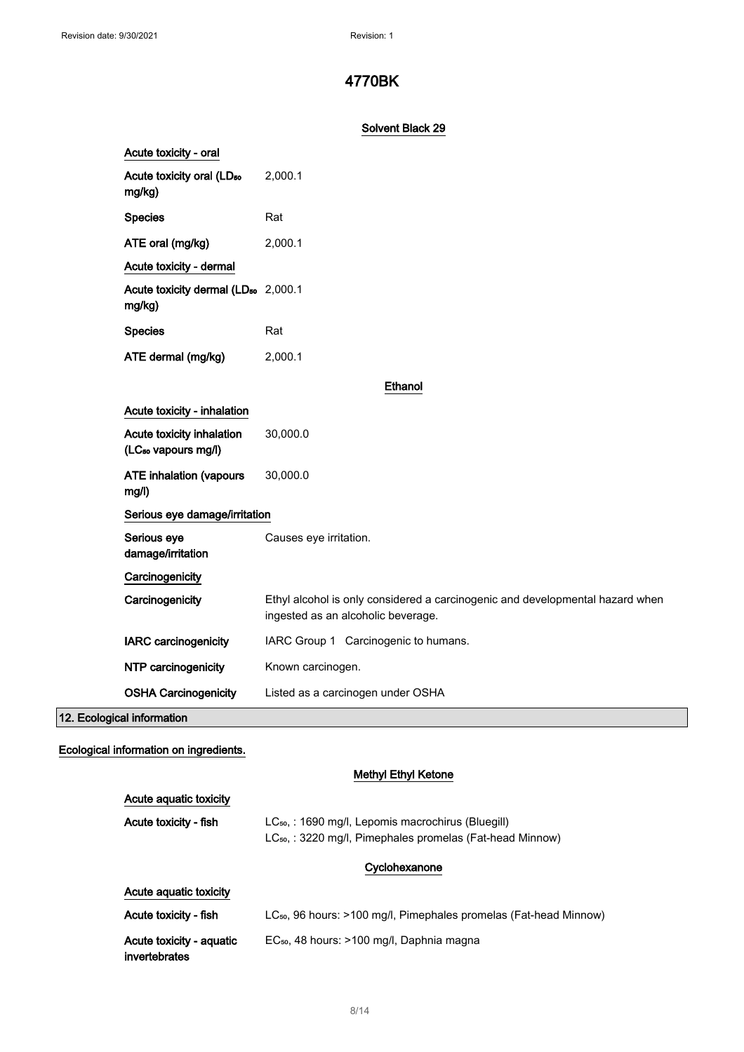#### Solvent Black 29

| Acute toxicity - oral                                        |                                                                                                                     |  |  |
|--------------------------------------------------------------|---------------------------------------------------------------------------------------------------------------------|--|--|
| Acute toxicity oral (LD <sub>50</sub><br>mg/kg)              | 2,000.1                                                                                                             |  |  |
| <b>Species</b>                                               | Rat                                                                                                                 |  |  |
| ATE oral (mg/kg)                                             | 2,000.1                                                                                                             |  |  |
| Acute toxicity - dermal                                      |                                                                                                                     |  |  |
| Acute toxicity dermal (LD <sub>50</sub> 2,000.1<br>mg/kg)    |                                                                                                                     |  |  |
| <b>Species</b>                                               | Rat                                                                                                                 |  |  |
| ATE dermal (mg/kg)                                           | 2,000.1                                                                                                             |  |  |
|                                                              | Ethanol                                                                                                             |  |  |
| Acute toxicity - inhalation                                  |                                                                                                                     |  |  |
| Acute toxicity inhalation<br>(LC <sub>50</sub> vapours mg/l) | 30,000.0                                                                                                            |  |  |
| <b>ATE inhalation (vapours</b><br>mg/l)                      | 30,000.0                                                                                                            |  |  |
| Serious eye damage/irritation                                |                                                                                                                     |  |  |
| Serious eye<br>damage/irritation                             | Causes eye irritation.                                                                                              |  |  |
| Carcinogenicity                                              |                                                                                                                     |  |  |
| Carcinogenicity                                              | Ethyl alcohol is only considered a carcinogenic and developmental hazard when<br>ingested as an alcoholic beverage. |  |  |
| <b>IARC</b> carcinogenicity                                  | IARC Group 1 Carcinogenic to humans.                                                                                |  |  |
| NTP carcinogenicity                                          | Known carcinogen.                                                                                                   |  |  |
| <b>OSHA Carcinogenicity</b>                                  | Listed as a carcinogen under OSHA                                                                                   |  |  |

12. Ecological information

# Ecological information on ingredients.

#### Methyl Ethyl Ketone

| Acute aguatic toxicity                    |                                                                                                                                  |  |
|-------------------------------------------|----------------------------------------------------------------------------------------------------------------------------------|--|
| Acute toxicity - fish                     | LC <sub>50</sub> , : 1690 mg/l, Lepomis macrochirus (Bluegill)<br>$LC_{50}$ , : 3220 mg/l, Pimephales promelas (Fat-head Minnow) |  |
|                                           | Cyclohexanone                                                                                                                    |  |
| Acute aquatic toxicity                    |                                                                                                                                  |  |
| Acute toxicity - fish                     | LC <sub>50</sub> , 96 hours: >100 mg/l, Pimephales promelas (Fat-head Minnow)                                                    |  |
| Acute toxicity - aquatic<br>invertebrates | EC <sub>50</sub> , 48 hours: >100 mg/l, Daphnia magna                                                                            |  |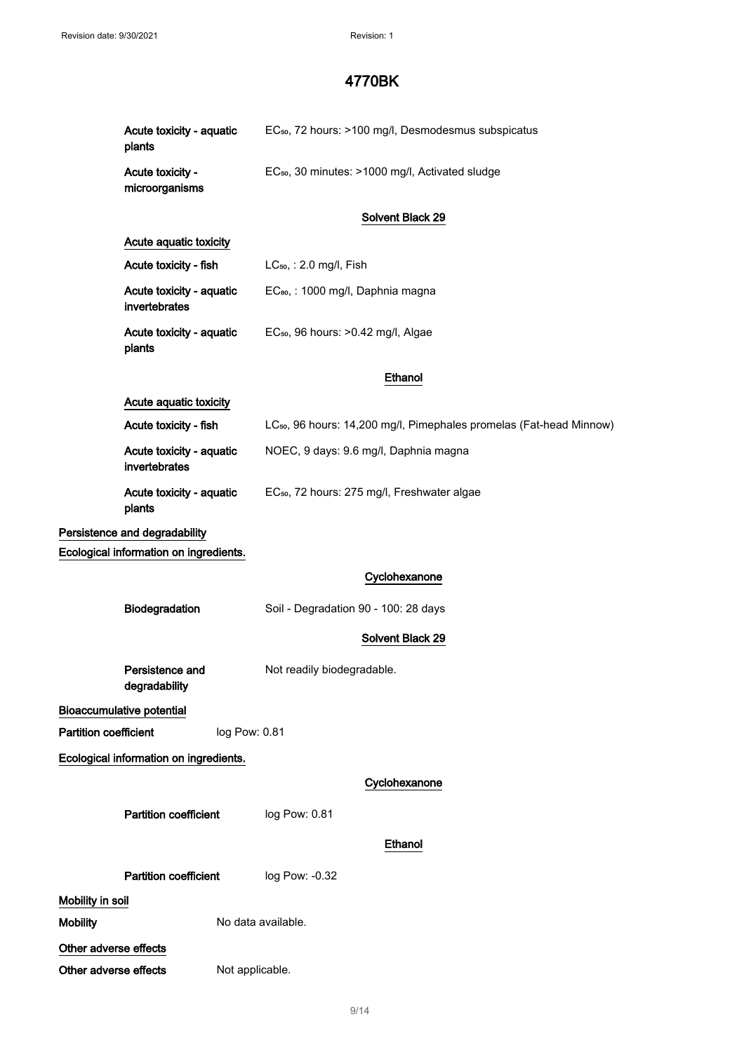|                              | Acute toxicity - aquatic<br>plants        |                    | EC <sub>50</sub> , 72 hours: >100 mg/l, Desmodesmus subspicatus                 |
|------------------------------|-------------------------------------------|--------------------|---------------------------------------------------------------------------------|
|                              | Acute toxicity -<br>microorganisms        |                    | EC <sub>50</sub> , 30 minutes: >1000 mg/l, Activated sludge                     |
|                              |                                           |                    | Solvent Black 29                                                                |
|                              | Acute aquatic toxicity                    |                    |                                                                                 |
|                              | Acute toxicity - fish                     |                    | LC <sub>50</sub> , : 2.0 mg/l, Fish                                             |
|                              | Acute toxicity - aquatic<br>invertebrates |                    | EC <sub>so</sub> , : 1000 mg/l, Daphnia magna                                   |
|                              | Acute toxicity - aquatic<br>plants        |                    | EC <sub>50</sub> , 96 hours: > 0.42 mg/l, Algae                                 |
|                              |                                           |                    | Ethanol                                                                         |
|                              | Acute aquatic toxicity                    |                    |                                                                                 |
|                              | Acute toxicity - fish                     |                    | LC <sub>50</sub> , 96 hours: 14,200 mg/l, Pimephales promelas (Fat-head Minnow) |
|                              | Acute toxicity - aquatic<br>invertebrates |                    | NOEC, 9 days: 9.6 mg/l, Daphnia magna                                           |
|                              | Acute toxicity - aquatic<br>plants        |                    | EC <sub>50</sub> , 72 hours: 275 mg/l, Freshwater algae                         |
|                              | Persistence and degradability             |                    |                                                                                 |
|                              | Ecological information on ingredients.    |                    |                                                                                 |
|                              |                                           |                    | Cyclohexanone                                                                   |
|                              | Biodegradation                            |                    | Soil - Degradation 90 - 100: 28 days                                            |
|                              |                                           |                    | Solvent Black 29                                                                |
|                              | Persistence and<br>degradability          |                    | Not readily biodegradable.                                                      |
|                              | <b>Bioaccumulative potential</b>          |                    |                                                                                 |
| <b>Partition coefficient</b> |                                           | log Pow: 0.81      |                                                                                 |
|                              | Ecological information on ingredients.    |                    |                                                                                 |
|                              |                                           |                    | Cyclohexanone                                                                   |
|                              | <b>Partition coefficient</b>              |                    | log Pow: 0.81                                                                   |
|                              |                                           |                    | Ethanol                                                                         |
|                              |                                           |                    |                                                                                 |
|                              | <b>Partition coefficient</b>              |                    | log Pow: -0.32                                                                  |
| Mobility in soil             |                                           |                    |                                                                                 |
| <b>Mobility</b>              |                                           | No data available. |                                                                                 |
| Other adverse effects        |                                           |                    |                                                                                 |
| Other adverse effects        |                                           | Not applicable.    |                                                                                 |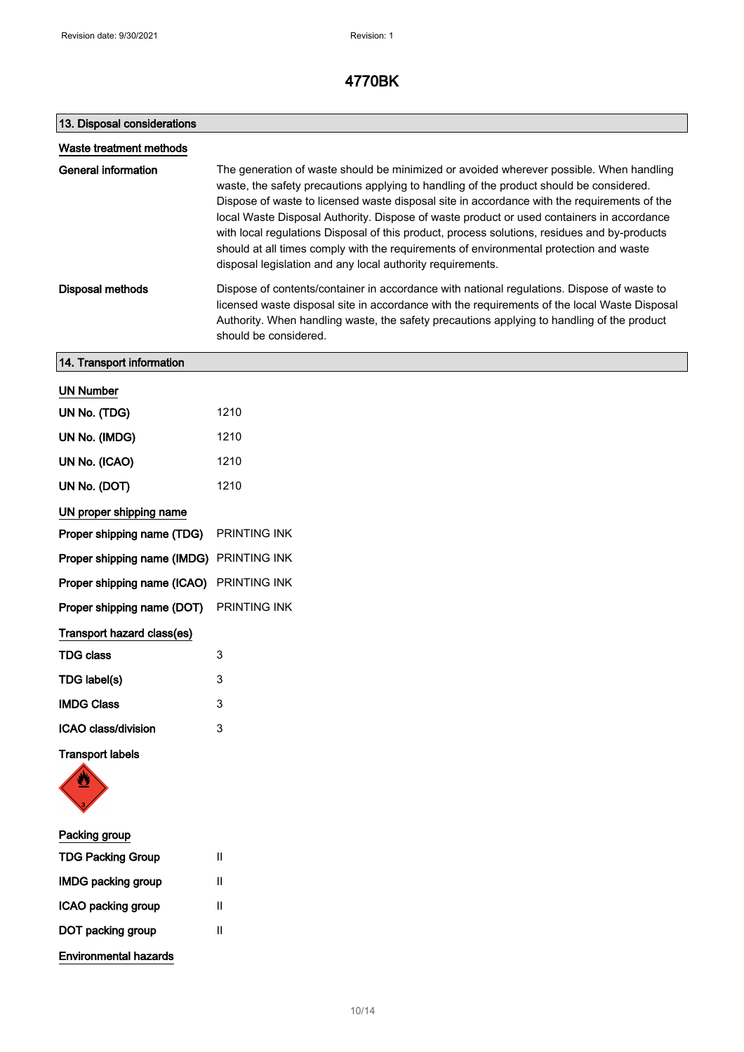| 13. Disposal considerations              |                                                                                                                                                                                                                                                                                                                                                                                                                                                                                                                                                                                                                                        |
|------------------------------------------|----------------------------------------------------------------------------------------------------------------------------------------------------------------------------------------------------------------------------------------------------------------------------------------------------------------------------------------------------------------------------------------------------------------------------------------------------------------------------------------------------------------------------------------------------------------------------------------------------------------------------------------|
| Waste treatment methods                  |                                                                                                                                                                                                                                                                                                                                                                                                                                                                                                                                                                                                                                        |
| <b>General information</b>               | The generation of waste should be minimized or avoided wherever possible. When handling<br>waste, the safety precautions applying to handling of the product should be considered.<br>Dispose of waste to licensed waste disposal site in accordance with the requirements of the<br>local Waste Disposal Authority. Dispose of waste product or used containers in accordance<br>with local regulations Disposal of this product, process solutions, residues and by-products<br>should at all times comply with the requirements of environmental protection and waste<br>disposal legislation and any local authority requirements. |
| <b>Disposal methods</b>                  | Dispose of contents/container in accordance with national regulations. Dispose of waste to<br>licensed waste disposal site in accordance with the requirements of the local Waste Disposal<br>Authority. When handling waste, the safety precautions applying to handling of the product<br>should be considered.                                                                                                                                                                                                                                                                                                                      |
| 14. Transport information                |                                                                                                                                                                                                                                                                                                                                                                                                                                                                                                                                                                                                                                        |
| <b>UN Number</b>                         |                                                                                                                                                                                                                                                                                                                                                                                                                                                                                                                                                                                                                                        |
| UN No. (TDG)                             | 1210                                                                                                                                                                                                                                                                                                                                                                                                                                                                                                                                                                                                                                   |
| UN No. (IMDG)                            | 1210                                                                                                                                                                                                                                                                                                                                                                                                                                                                                                                                                                                                                                   |
| UN No. (ICAO)                            | 1210                                                                                                                                                                                                                                                                                                                                                                                                                                                                                                                                                                                                                                   |
| UN No. (DOT)                             | 1210                                                                                                                                                                                                                                                                                                                                                                                                                                                                                                                                                                                                                                   |
| UN proper shipping name                  |                                                                                                                                                                                                                                                                                                                                                                                                                                                                                                                                                                                                                                        |
| Proper shipping name (TDG)               | PRINTING INK                                                                                                                                                                                                                                                                                                                                                                                                                                                                                                                                                                                                                           |
| Proper shipping name (IMDG) PRINTING INK |                                                                                                                                                                                                                                                                                                                                                                                                                                                                                                                                                                                                                                        |
| Proper shipping name (ICAO)              | PRINTING INK                                                                                                                                                                                                                                                                                                                                                                                                                                                                                                                                                                                                                           |
| Proper shipping name (DOT)               | PRINTING INK                                                                                                                                                                                                                                                                                                                                                                                                                                                                                                                                                                                                                           |
| Transport hazard class(es)               |                                                                                                                                                                                                                                                                                                                                                                                                                                                                                                                                                                                                                                        |
| <b>TDG class</b>                         | 3                                                                                                                                                                                                                                                                                                                                                                                                                                                                                                                                                                                                                                      |
| TDG label(s)                             | 3                                                                                                                                                                                                                                                                                                                                                                                                                                                                                                                                                                                                                                      |
| <b>IMDG Class</b>                        | 3                                                                                                                                                                                                                                                                                                                                                                                                                                                                                                                                                                                                                                      |
| ICAO class/division                      | 3                                                                                                                                                                                                                                                                                                                                                                                                                                                                                                                                                                                                                                      |
| <b>Transport labels</b>                  |                                                                                                                                                                                                                                                                                                                                                                                                                                                                                                                                                                                                                                        |
| Packing group                            |                                                                                                                                                                                                                                                                                                                                                                                                                                                                                                                                                                                                                                        |
| <b>TDG Packing Group</b>                 | Ш                                                                                                                                                                                                                                                                                                                                                                                                                                                                                                                                                                                                                                      |

| <b>IMDG packing group</b> | Ш |
|---------------------------|---|
| ICAO packing group        | н |
| DOT packing group         | Ш |
| Environmental hazards     |   |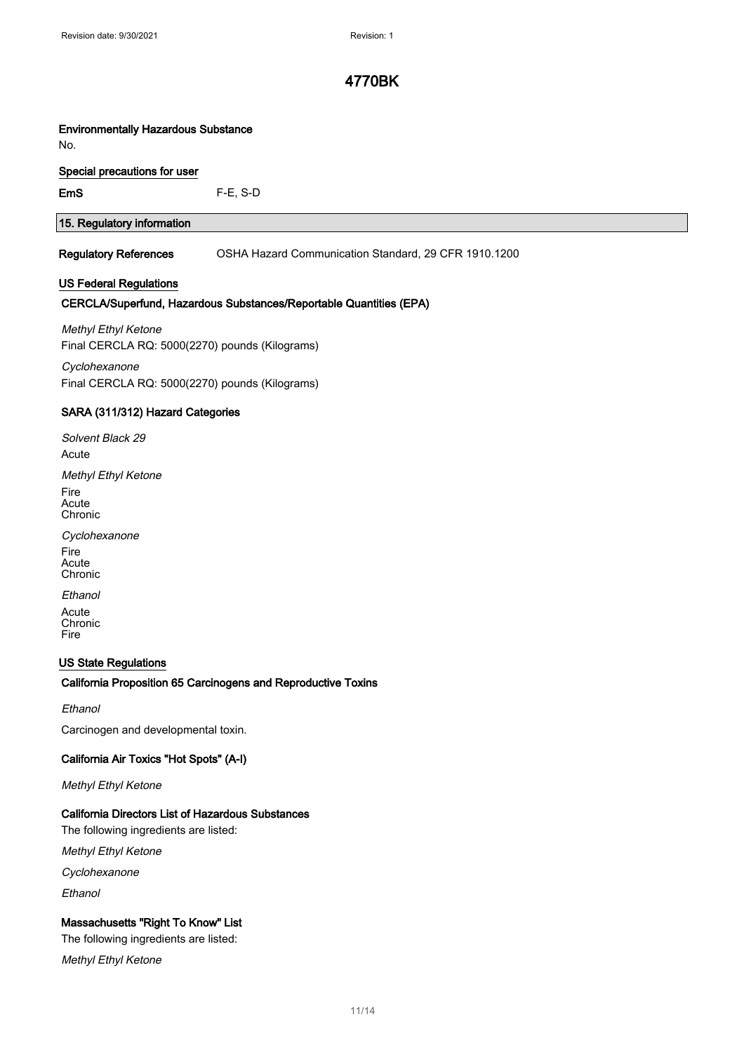#### Environmentally Hazardous Substance

No.

#### Special precautions for user

EmS F-E, S-D

#### 15. Regulatory information

Regulatory References OSHA Hazard Communication Standard, 29 CFR 1910.1200

#### US Federal Regulations

#### CERCLA/Superfund, Hazardous Substances/Reportable Quantities (EPA)

Methyl Ethyl Ketone Final CERCLA RQ: 5000(2270) pounds (Kilograms)

**Cyclohexanone** Final CERCLA RQ: 5000(2270) pounds (Kilograms)

#### SARA (311/312) Hazard Categories

Solvent Black 29 **Acute** Methyl Ethyl Ketone

Fire Acute **Chronic** 

**Cyclohexanone** Fire Acute Chronic

**Ethanol** Acute Chronic Fire

#### US State Regulations

#### California Proposition 65 Carcinogens and Reproductive Toxins

Ethanol

Carcinogen and developmental toxin.

#### California Air Toxics "Hot Spots" (A-I)

Methyl Ethyl Ketone

#### California Directors List of Hazardous Substances

The following ingredients are listed:

Methyl Ethyl Ketone

**Cyclohexanone** 

Ethanol

#### Massachusetts "Right To Know" List

The following ingredients are listed:

Methyl Ethyl Ketone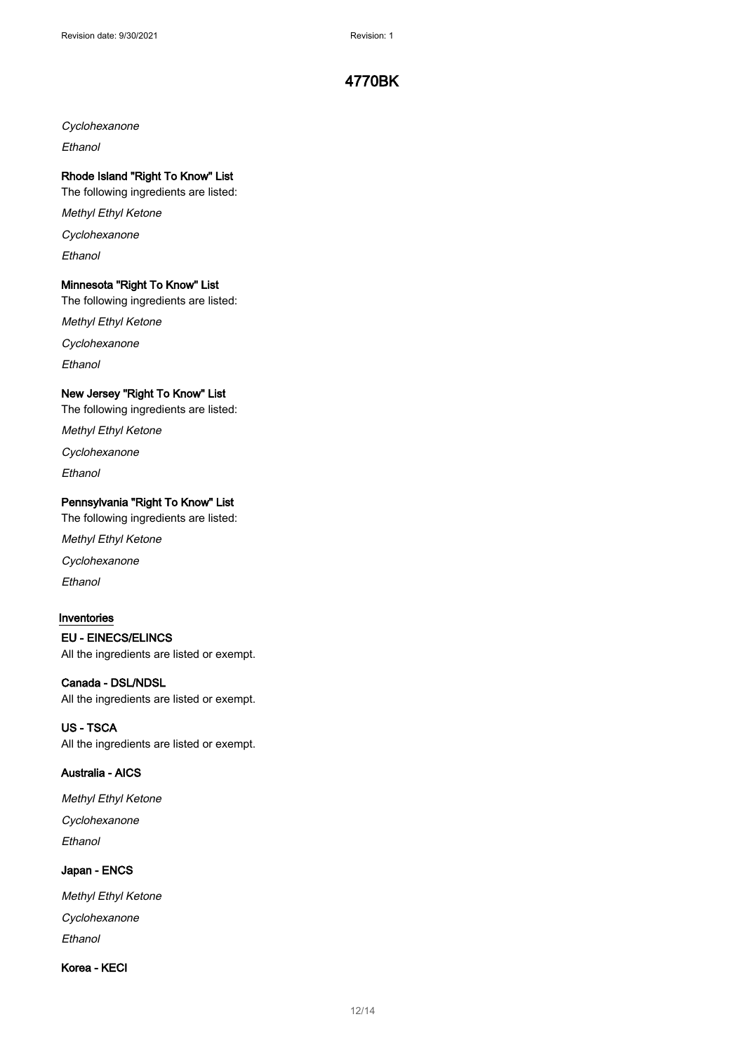**Cyclohexanone** 

**Ethanol** 

#### Rhode Island "Right To Know" List

The following ingredients are listed:

Methyl Ethyl Ketone

**Cyclohexanone** 

Ethanol

#### Minnesota "Right To Know" List

The following ingredients are listed:

Methyl Ethyl Ketone

**Cyclohexanone** 

**Fthanol** 

#### New Jersey "Right To Know" List

The following ingredients are listed:

Methyl Ethyl Ketone

**Cyclohexanone** 

Ethanol

#### Pennsylvania "Right To Know" List

The following ingredients are listed:

Methyl Ethyl Ketone

Cyclohexanone

**Ethanol** 

#### Inventories

EU - EINECS/ELINCS

All the ingredients are listed or exempt.

#### Canada - DSL/NDSL

All the ingredients are listed or exempt.

#### US - TSCA

All the ingredients are listed or exempt.

#### Australia - AICS

Methyl Ethyl Ketone Cyclohexanone Ethanol

#### Japan - ENCS

Methyl Ethyl Ketone Cyclohexanone Ethanol

#### Korea - KECI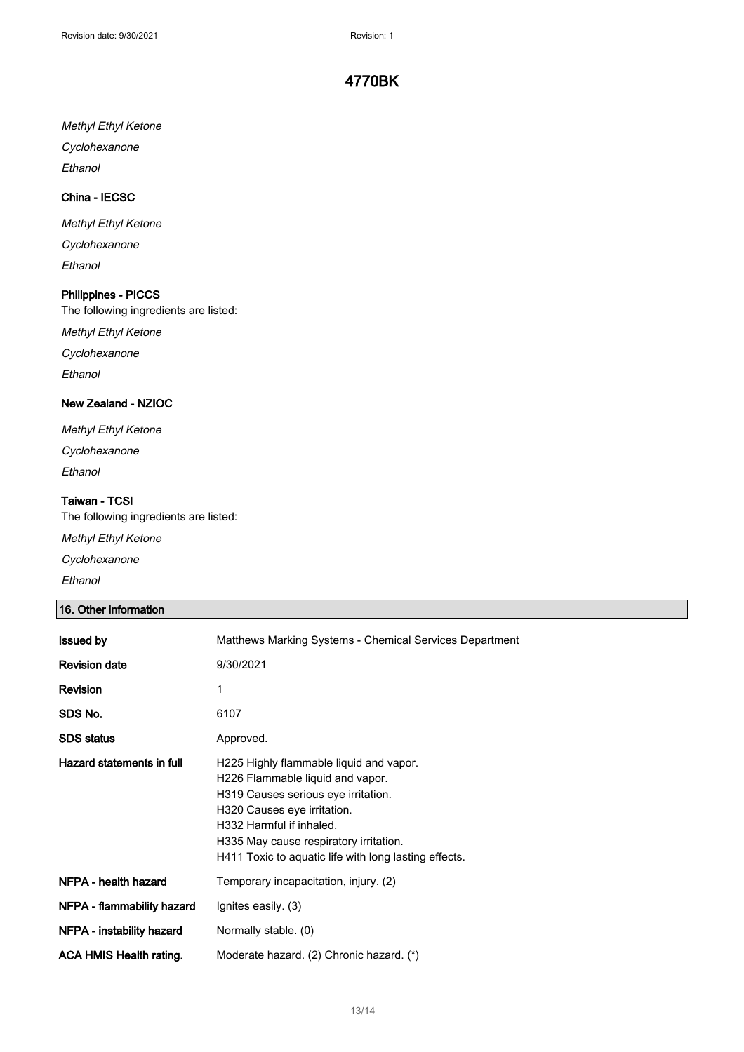#### Methyl Ethyl Ketone

Cyclohexanone

**Ethanol** 

#### China - IECSC

Methyl Ethyl Ketone Cyclohexanone

Ethanol

#### Philippines - PICCS

The following ingredients are listed:

Methyl Ethyl Ketone

Cyclohexanone

Ethanol

#### New Zealand - NZIOC

Methyl Ethyl Ketone Cyclohexanone

Ethanol

#### Taiwan - TCSI

The following ingredients are listed:

Methyl Ethyl Ketone

Cyclohexanone

Ethanol

#### 16. Other information

| <b>Issued by</b>           | Matthews Marking Systems - Chemical Services Department                                                                                                                                                                                                                          |  |
|----------------------------|----------------------------------------------------------------------------------------------------------------------------------------------------------------------------------------------------------------------------------------------------------------------------------|--|
| <b>Revision date</b>       | 9/30/2021                                                                                                                                                                                                                                                                        |  |
| Revision                   | 1                                                                                                                                                                                                                                                                                |  |
| SDS No.                    | 6107                                                                                                                                                                                                                                                                             |  |
| <b>SDS status</b>          | Approved.                                                                                                                                                                                                                                                                        |  |
| Hazard statements in full  | H225 Highly flammable liquid and vapor.<br>H226 Flammable liquid and vapor.<br>H319 Causes serious eye irritation.<br>H320 Causes eye irritation.<br>H332 Harmful if inhaled.<br>H335 May cause respiratory irritation.<br>H411 Toxic to aquatic life with long lasting effects. |  |
| NFPA - health hazard       | Temporary incapacitation, injury. (2)                                                                                                                                                                                                                                            |  |
| NFPA - flammability hazard | Ignites easily. (3)                                                                                                                                                                                                                                                              |  |
| NFPA - instability hazard  | Normally stable. (0)                                                                                                                                                                                                                                                             |  |
| ACA HMIS Health rating.    | Moderate hazard. (2) Chronic hazard. (*)                                                                                                                                                                                                                                         |  |